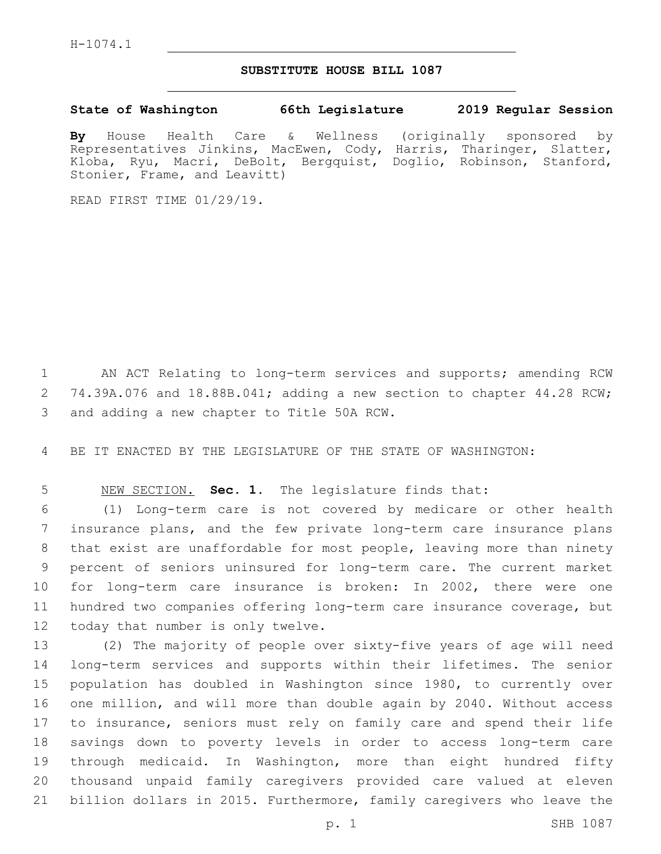## **SUBSTITUTE HOUSE BILL 1087**

**State of Washington 66th Legislature 2019 Regular Session**

**By** House Health Care & Wellness (originally sponsored by Representatives Jinkins, MacEwen, Cody, Harris, Tharinger, Slatter, Kloba, Ryu, Macri, DeBolt, Bergquist, Doglio, Robinson, Stanford, Stonier, Frame, and Leavitt)

READ FIRST TIME 01/29/19.

 AN ACT Relating to long-term services and supports; amending RCW 74.39A.076 and 18.88B.041; adding a new section to chapter 44.28 RCW; 3 and adding a new chapter to Title 50A RCW.

BE IT ENACTED BY THE LEGISLATURE OF THE STATE OF WASHINGTON:

NEW SECTION. **Sec. 1.** The legislature finds that:

 (1) Long-term care is not covered by medicare or other health insurance plans, and the few private long-term care insurance plans that exist are unaffordable for most people, leaving more than ninety percent of seniors uninsured for long-term care. The current market for long-term care insurance is broken: In 2002, there were one hundred two companies offering long-term care insurance coverage, but 12 today that number is only twelve.

 (2) The majority of people over sixty-five years of age will need long-term services and supports within their lifetimes. The senior population has doubled in Washington since 1980, to currently over one million, and will more than double again by 2040. Without access to insurance, seniors must rely on family care and spend their life savings down to poverty levels in order to access long-term care through medicaid. In Washington, more than eight hundred fifty thousand unpaid family caregivers provided care valued at eleven billion dollars in 2015. Furthermore, family caregivers who leave the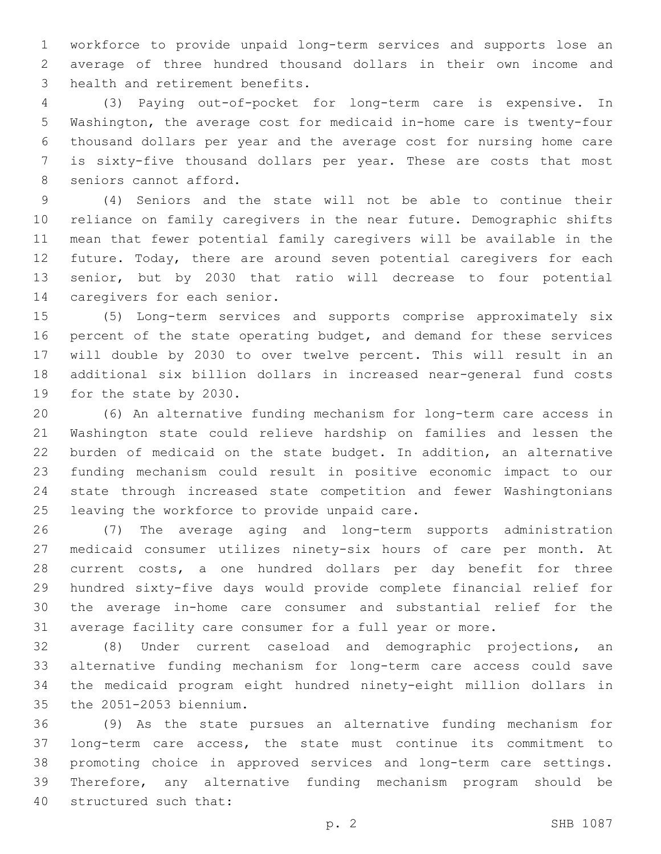workforce to provide unpaid long-term services and supports lose an average of three hundred thousand dollars in their own income and 3 health and retirement benefits.

 (3) Paying out-of-pocket for long-term care is expensive. In Washington, the average cost for medicaid in-home care is twenty-four thousand dollars per year and the average cost for nursing home care is sixty-five thousand dollars per year. These are costs that most 8 seniors cannot afford.

 (4) Seniors and the state will not be able to continue their reliance on family caregivers in the near future. Demographic shifts mean that fewer potential family caregivers will be available in the 12 future. Today, there are around seven potential caregivers for each senior, but by 2030 that ratio will decrease to four potential 14 caregivers for each senior.

 (5) Long-term services and supports comprise approximately six 16 percent of the state operating budget, and demand for these services will double by 2030 to over twelve percent. This will result in an additional six billion dollars in increased near-general fund costs 19 for the state by 2030.

 (6) An alternative funding mechanism for long-term care access in Washington state could relieve hardship on families and lessen the burden of medicaid on the state budget. In addition, an alternative funding mechanism could result in positive economic impact to our state through increased state competition and fewer Washingtonians 25 leaving the workforce to provide unpaid care.

 (7) The average aging and long-term supports administration medicaid consumer utilizes ninety-six hours of care per month. At current costs, a one hundred dollars per day benefit for three hundred sixty-five days would provide complete financial relief for the average in-home care consumer and substantial relief for the average facility care consumer for a full year or more.

 (8) Under current caseload and demographic projections, an alternative funding mechanism for long-term care access could save the medicaid program eight hundred ninety-eight million dollars in 35 the 2051-2053 biennium.

 (9) As the state pursues an alternative funding mechanism for long-term care access, the state must continue its commitment to promoting choice in approved services and long-term care settings. Therefore, any alternative funding mechanism program should be 40 structured such that: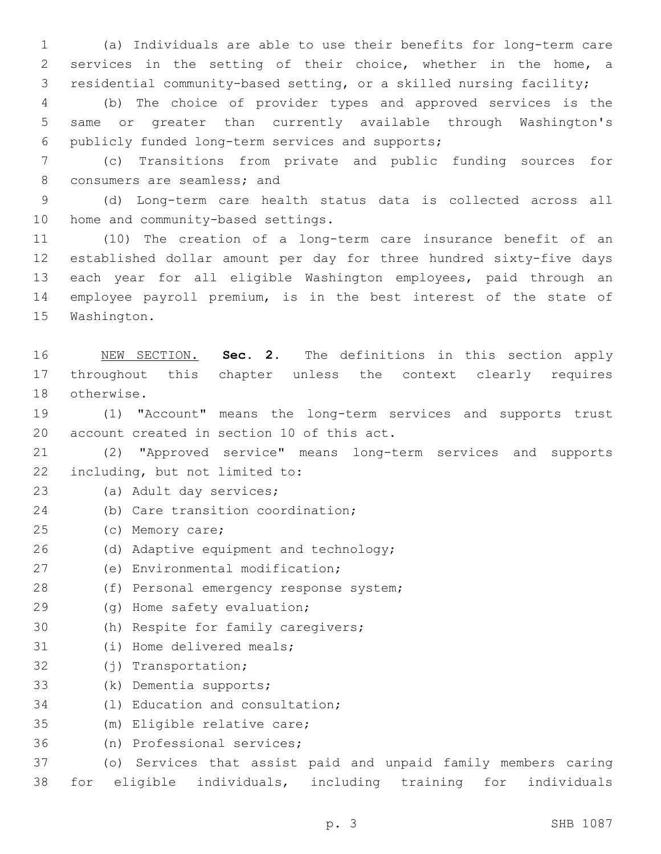1 (a) Individuals are able to use their benefits for long-term care 2 services in the setting of their choice, whether in the home, a 3 residential community-based setting, or a skilled nursing facility;

4 (b) The choice of provider types and approved services is the 5 same or greater than currently available through Washington's 6 publicly funded long-term services and supports;

7 (c) Transitions from private and public funding sources for 8 consumers are seamless; and

9 (d) Long-term care health status data is collected across all 10 home and community-based settings.

 (10) The creation of a long-term care insurance benefit of an established dollar amount per day for three hundred sixty-five days each year for all eligible Washington employees, paid through an employee payroll premium, is in the best interest of the state of 15 Washington.

16 NEW SECTION. **Sec. 2.** The definitions in this section apply 17 throughout this chapter unless the context clearly requires 18 otherwise.

19 (1) "Account" means the long-term services and supports trust 20 account created in section 10 of this act.

21 (2) "Approved service" means long-term services and supports 22 including, but not limited to:

23 (a) Adult day services;

- 24 (b) Care transition coordination;
- 25 (c) Memory care;
- 26 (d) Adaptive equipment and technology;
- 27 (e) Environmental modification;
- 28 (f) Personal emergency response system;
- 29 (g) Home safety evaluation;
- 30 (h) Respite for family caregivers;
- 31 (i) Home delivered meals;
- 32 (j) Transportation;
- 33 (k) Dementia supports;
- 34 (1) Education and consultation;
- 35 (m) Eligible relative care;
- 36 (n) Professional services;

37 (o) Services that assist paid and unpaid family members caring

38 for eligible individuals, including training for individuals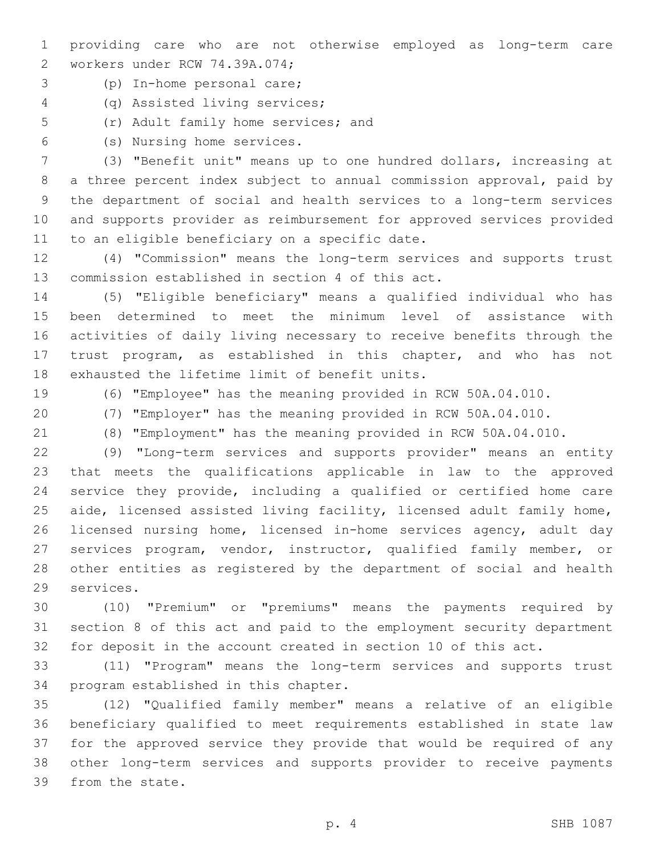- providing care who are not otherwise employed as long-term care 2 workers under RCW 74.39A.074;
- (p) In-home personal care;3
- (q) Assisted living services;4
- 5 (r) Adult family home services; and
- (s) Nursing home services.6

 (3) "Benefit unit" means up to one hundred dollars, increasing at a three percent index subject to annual commission approval, paid by the department of social and health services to a long-term services and supports provider as reimbursement for approved services provided 11 to an eligible beneficiary on a specific date.

 (4) "Commission" means the long-term services and supports trust 13 commission established in section 4 of this act.

 (5) "Eligible beneficiary" means a qualified individual who has been determined to meet the minimum level of assistance with activities of daily living necessary to receive benefits through the trust program, as established in this chapter, and who has not 18 exhausted the lifetime limit of benefit units.

(6) "Employee" has the meaning provided in RCW 50A.04.010.

- (7) "Employer" has the meaning provided in RCW 50A.04.010.
- 

(8) "Employment" has the meaning provided in RCW 50A.04.010.

 (9) "Long-term services and supports provider" means an entity that meets the qualifications applicable in law to the approved service they provide, including a qualified or certified home care aide, licensed assisted living facility, licensed adult family home, licensed nursing home, licensed in-home services agency, adult day services program, vendor, instructor, qualified family member, or other entities as registered by the department of social and health 29 services.

 (10) "Premium" or "premiums" means the payments required by section 8 of this act and paid to the employment security department for deposit in the account created in section 10 of this act.

 (11) "Program" means the long-term services and supports trust 34 program established in this chapter.

 (12) "Qualified family member" means a relative of an eligible beneficiary qualified to meet requirements established in state law for the approved service they provide that would be required of any other long-term services and supports provider to receive payments 39 from the state.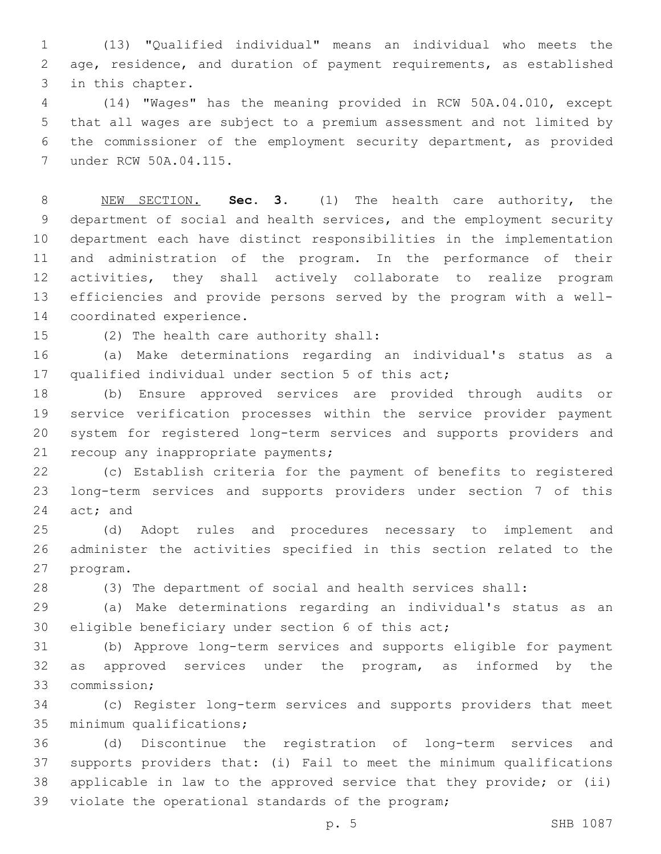(13) "Qualified individual" means an individual who meets the age, residence, and duration of payment requirements, as established 3 in this chapter.

 (14) "Wages" has the meaning provided in RCW 50A.04.010, except that all wages are subject to a premium assessment and not limited by the commissioner of the employment security department, as provided 7 under RCW 50A.04.115.

 NEW SECTION. **Sec. 3.** (1) The health care authority, the department of social and health services, and the employment security department each have distinct responsibilities in the implementation and administration of the program. In the performance of their activities, they shall actively collaborate to realize program efficiencies and provide persons served by the program with a well-coordinated experience.

15 (2) The health care authority shall:

 (a) Make determinations regarding an individual's status as a 17 qualified individual under section 5 of this act;

 (b) Ensure approved services are provided through audits or service verification processes within the service provider payment system for registered long-term services and supports providers and 21 recoup any inappropriate payments;

 (c) Establish criteria for the payment of benefits to registered long-term services and supports providers under section 7 of this 24 act; and

 (d) Adopt rules and procedures necessary to implement and administer the activities specified in this section related to the 27 program.

(3) The department of social and health services shall:

 (a) Make determinations regarding an individual's status as an 30 eligible beneficiary under section 6 of this act;

 (b) Approve long-term services and supports eligible for payment as approved services under the program, as informed by the 33 commission:

 (c) Register long-term services and supports providers that meet 35 minimum qualifications;

 (d) Discontinue the registration of long-term services and supports providers that: (i) Fail to meet the minimum qualifications applicable in law to the approved service that they provide; or (ii) 39 violate the operational standards of the program;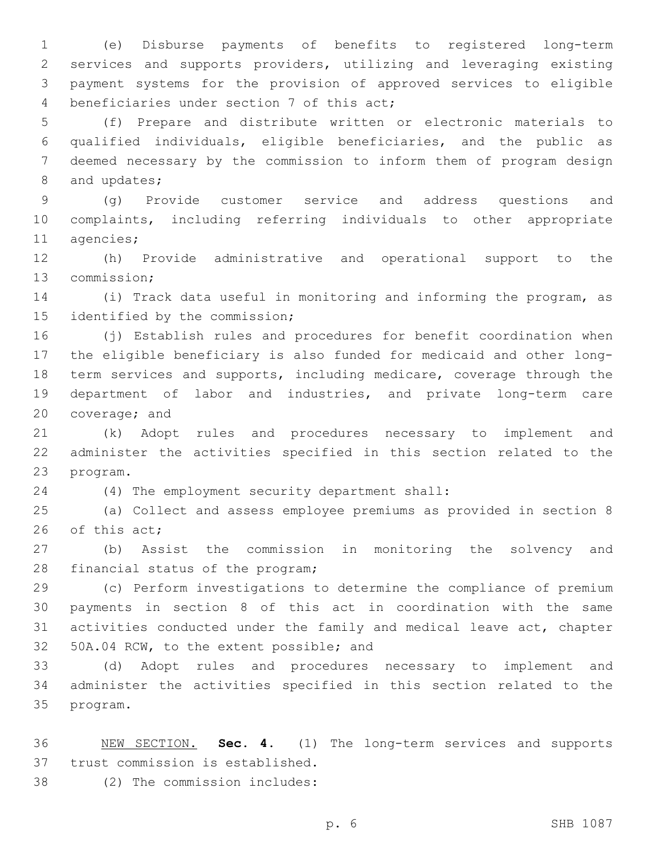(e) Disburse payments of benefits to registered long-term services and supports providers, utilizing and leveraging existing payment systems for the provision of approved services to eligible 4 beneficiaries under section 7 of this act;

 (f) Prepare and distribute written or electronic materials to qualified individuals, eligible beneficiaries, and the public as deemed necessary by the commission to inform them of program design 8 and updates;

 (g) Provide customer service and address questions and complaints, including referring individuals to other appropriate 11 agencies;

 (h) Provide administrative and operational support to the 13 commission;

 (i) Track data useful in monitoring and informing the program, as 15 identified by the commission;

 (j) Establish rules and procedures for benefit coordination when the eligible beneficiary is also funded for medicaid and other long- term services and supports, including medicare, coverage through the department of labor and industries, and private long-term care 20 coverage; and

 (k) Adopt rules and procedures necessary to implement and administer the activities specified in this section related to the 23 program.

(4) The employment security department shall:24

 (a) Collect and assess employee premiums as provided in section 8 26 of this act;

 (b) Assist the commission in monitoring the solvency and 28 financial status of the program;

 (c) Perform investigations to determine the compliance of premium payments in section 8 of this act in coordination with the same activities conducted under the family and medical leave act, chapter 50A.04 RCW, to the extent possible; and

 (d) Adopt rules and procedures necessary to implement and administer the activities specified in this section related to the 35 program.

 NEW SECTION. **Sec. 4.** (1) The long-term services and supports trust commission is established.

(2) The commission includes:38

p. 6 SHB 1087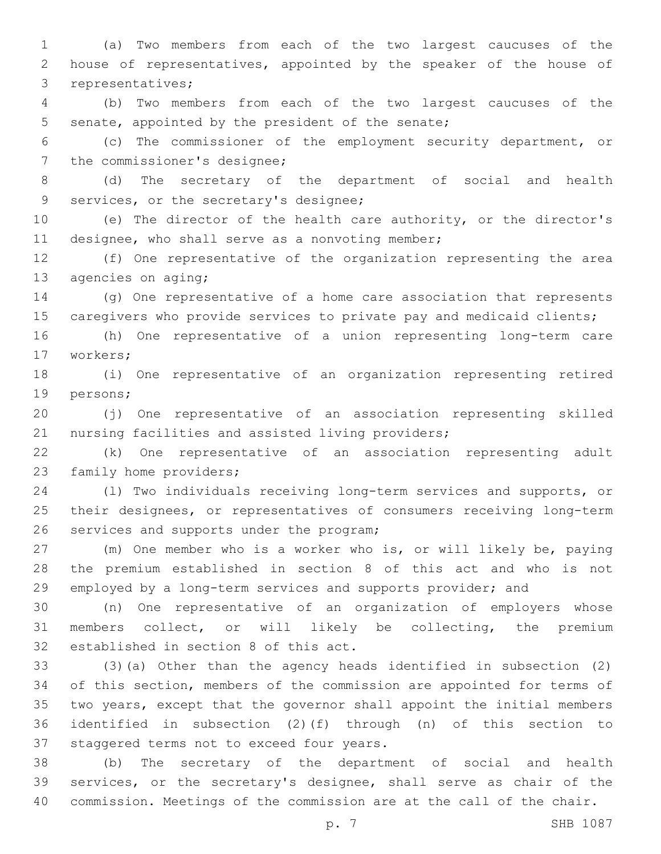(a) Two members from each of the two largest caucuses of the house of representatives, appointed by the speaker of the house of 3 representatives;

 (b) Two members from each of the two largest caucuses of the 5 senate, appointed by the president of the senate;

 (c) The commissioner of the employment security department, or 7 the commissioner's designee;

 (d) The secretary of the department of social and health 9 services, or the secretary's designee;

 (e) The director of the health care authority, or the director's 11 designee, who shall serve as a nonvoting member;

 (f) One representative of the organization representing the area 13 agencies on aging;

 (g) One representative of a home care association that represents 15 caregivers who provide services to private pay and medicaid clients;

 (h) One representative of a union representing long-term care 17 workers;

 (i) One representative of an organization representing retired 19 persons;

 (j) One representative of an association representing skilled 21 nursing facilities and assisted living providers;

 (k) One representative of an association representing adult 23 family home providers;

 (l) Two individuals receiving long-term services and supports, or their designees, or representatives of consumers receiving long-term 26 services and supports under the program;

 (m) One member who is a worker who is, or will likely be, paying the premium established in section 8 of this act and who is not employed by a long-term services and supports provider; and

 (n) One representative of an organization of employers whose members collect, or will likely be collecting, the premium 32 established in section 8 of this act.

 (3)(a) Other than the agency heads identified in subsection (2) of this section, members of the commission are appointed for terms of two years, except that the governor shall appoint the initial members identified in subsection (2)(f) through (n) of this section to 37 staggered terms not to exceed four years.

 (b) The secretary of the department of social and health services, or the secretary's designee, shall serve as chair of the commission. Meetings of the commission are at the call of the chair.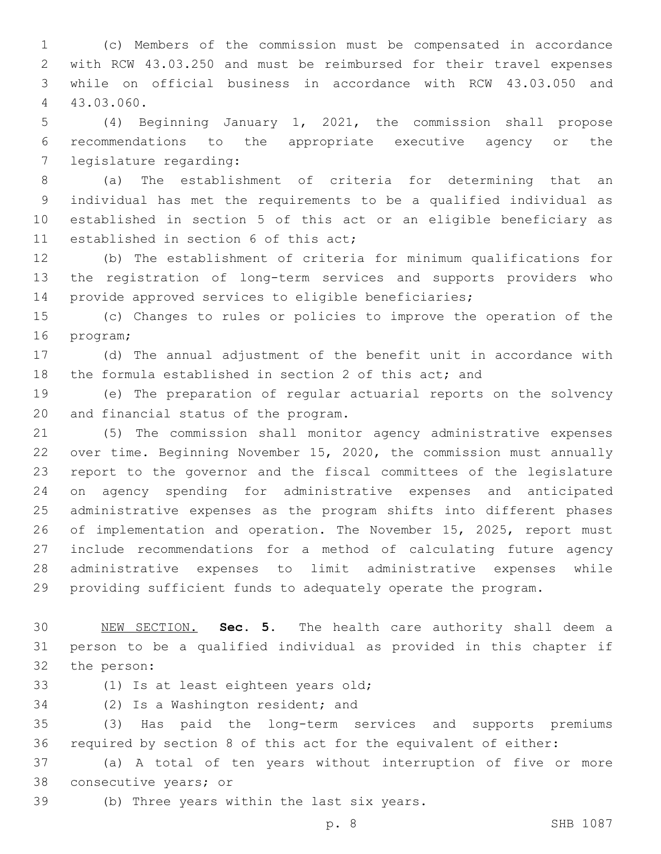(c) Members of the commission must be compensated in accordance with RCW 43.03.250 and must be reimbursed for their travel expenses while on official business in accordance with RCW 43.03.050 and 43.03.060.4

 (4) Beginning January 1, 2021, the commission shall propose recommendations to the appropriate executive agency or the 7 legislature regarding:

 (a) The establishment of criteria for determining that an individual has met the requirements to be a qualified individual as established in section 5 of this act or an eligible beneficiary as 11 established in section 6 of this act;

 (b) The establishment of criteria for minimum qualifications for the registration of long-term services and supports providers who provide approved services to eligible beneficiaries;

 (c) Changes to rules or policies to improve the operation of the 16 program;

 (d) The annual adjustment of the benefit unit in accordance with 18 the formula established in section 2 of this act; and

 (e) The preparation of regular actuarial reports on the solvency 20 and financial status of the program.

 (5) The commission shall monitor agency administrative expenses over time. Beginning November 15, 2020, the commission must annually report to the governor and the fiscal committees of the legislature on agency spending for administrative expenses and anticipated administrative expenses as the program shifts into different phases of implementation and operation. The November 15, 2025, report must include recommendations for a method of calculating future agency administrative expenses to limit administrative expenses while providing sufficient funds to adequately operate the program.

 NEW SECTION. **Sec. 5.** The health care authority shall deem a person to be a qualified individual as provided in this chapter if the person:

33 (1) Is at least eighteen years old;

34 (2) Is a Washington resident; and

 (3) Has paid the long-term services and supports premiums required by section 8 of this act for the equivalent of either:

 (a) A total of ten years without interruption of five or more 38 consecutive years; or

39 (b) Three years within the last six years.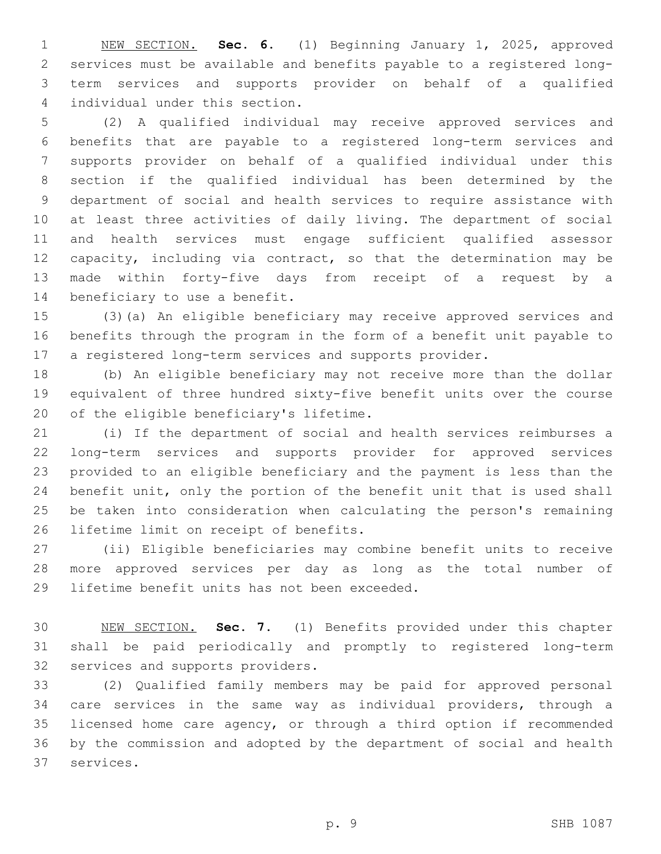NEW SECTION. **Sec. 6.** (1) Beginning January 1, 2025, approved services must be available and benefits payable to a registered long- term services and supports provider on behalf of a qualified individual under this section.

 (2) A qualified individual may receive approved services and benefits that are payable to a registered long-term services and supports provider on behalf of a qualified individual under this section if the qualified individual has been determined by the department of social and health services to require assistance with at least three activities of daily living. The department of social and health services must engage sufficient qualified assessor capacity, including via contract, so that the determination may be made within forty-five days from receipt of a request by a 14 beneficiary to use a benefit.

 (3)(a) An eligible beneficiary may receive approved services and benefits through the program in the form of a benefit unit payable to a registered long-term services and supports provider.

 (b) An eligible beneficiary may not receive more than the dollar equivalent of three hundred sixty-five benefit units over the course 20 of the eligible beneficiary's lifetime.

 (i) If the department of social and health services reimburses a long-term services and supports provider for approved services provided to an eligible beneficiary and the payment is less than the benefit unit, only the portion of the benefit unit that is used shall be taken into consideration when calculating the person's remaining 26 lifetime limit on receipt of benefits.

 (ii) Eligible beneficiaries may combine benefit units to receive more approved services per day as long as the total number of 29 lifetime benefit units has not been exceeded.

 NEW SECTION. **Sec. 7.** (1) Benefits provided under this chapter shall be paid periodically and promptly to registered long-term services and supports providers.

 (2) Qualified family members may be paid for approved personal care services in the same way as individual providers, through a licensed home care agency, or through a third option if recommended by the commission and adopted by the department of social and health 37 services.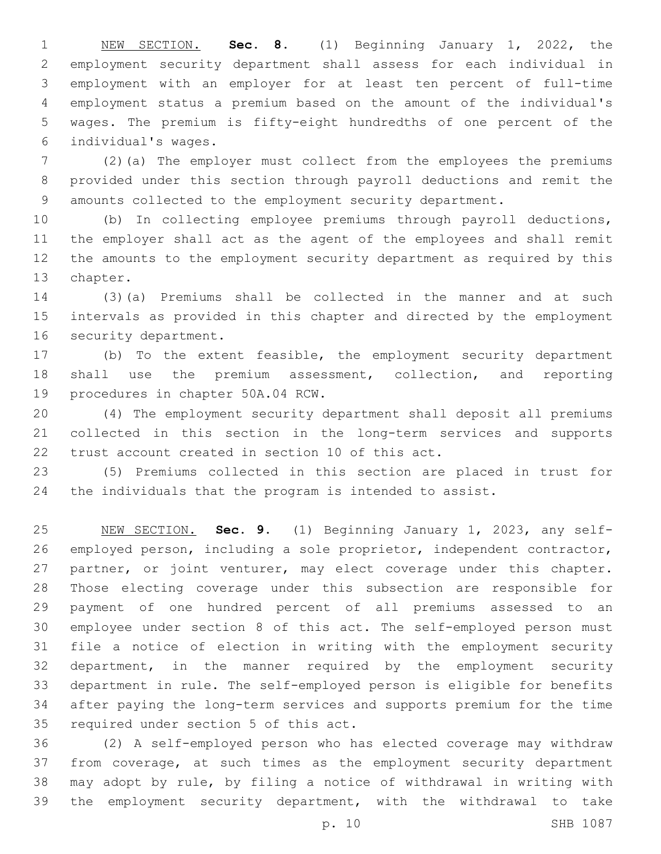NEW SECTION. **Sec. 8.** (1) Beginning January 1, 2022, the employment security department shall assess for each individual in employment with an employer for at least ten percent of full-time employment status a premium based on the amount of the individual's wages. The premium is fifty-eight hundredths of one percent of the individual's wages.

 (2)(a) The employer must collect from the employees the premiums provided under this section through payroll deductions and remit the amounts collected to the employment security department.

 (b) In collecting employee premiums through payroll deductions, the employer shall act as the agent of the employees and shall remit the amounts to the employment security department as required by this 13 chapter.

 (3)(a) Premiums shall be collected in the manner and at such intervals as provided in this chapter and directed by the employment 16 security department.

 (b) To the extent feasible, the employment security department shall use the premium assessment, collection, and reporting 19 procedures in chapter 50A.04 RCW.

 (4) The employment security department shall deposit all premiums collected in this section in the long-term services and supports 22 trust account created in section 10 of this act.

 (5) Premiums collected in this section are placed in trust for the individuals that the program is intended to assist.

 NEW SECTION. **Sec. 9.** (1) Beginning January 1, 2023, any self- employed person, including a sole proprietor, independent contractor, 27 partner, or joint venturer, may elect coverage under this chapter. Those electing coverage under this subsection are responsible for payment of one hundred percent of all premiums assessed to an employee under section 8 of this act. The self-employed person must file a notice of election in writing with the employment security department, in the manner required by the employment security department in rule. The self-employed person is eligible for benefits after paying the long-term services and supports premium for the time required under section 5 of this act.

 (2) A self-employed person who has elected coverage may withdraw from coverage, at such times as the employment security department may adopt by rule, by filing a notice of withdrawal in writing with the employment security department, with the withdrawal to take

p. 10 SHB 1087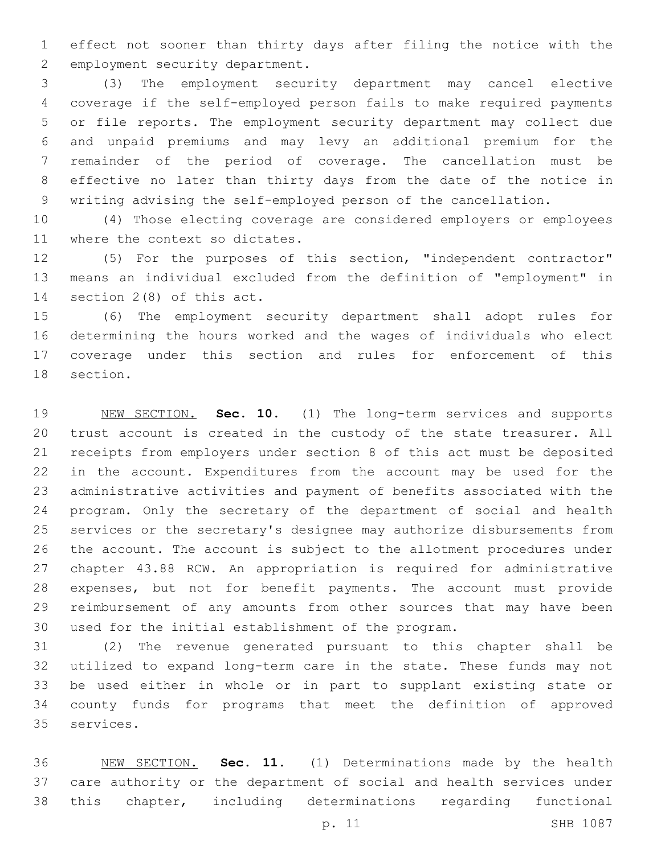effect not sooner than thirty days after filing the notice with the 2 employment security department.

 (3) The employment security department may cancel elective coverage if the self-employed person fails to make required payments or file reports. The employment security department may collect due and unpaid premiums and may levy an additional premium for the remainder of the period of coverage. The cancellation must be effective no later than thirty days from the date of the notice in writing advising the self-employed person of the cancellation.

 (4) Those electing coverage are considered employers or employees 11 where the context so dictates.

 (5) For the purposes of this section, "independent contractor" means an individual excluded from the definition of "employment" in 14 section  $2(8)$  of this act.

 (6) The employment security department shall adopt rules for determining the hours worked and the wages of individuals who elect coverage under this section and rules for enforcement of this 18 section.

 NEW SECTION. **Sec. 10.** (1) The long-term services and supports trust account is created in the custody of the state treasurer. All receipts from employers under section 8 of this act must be deposited in the account. Expenditures from the account may be used for the administrative activities and payment of benefits associated with the program. Only the secretary of the department of social and health services or the secretary's designee may authorize disbursements from the account. The account is subject to the allotment procedures under chapter 43.88 RCW. An appropriation is required for administrative expenses, but not for benefit payments. The account must provide reimbursement of any amounts from other sources that may have been used for the initial establishment of the program.

 (2) The revenue generated pursuant to this chapter shall be utilized to expand long-term care in the state. These funds may not be used either in whole or in part to supplant existing state or county funds for programs that meet the definition of approved 35 services.

 NEW SECTION. **Sec. 11.** (1) Determinations made by the health care authority or the department of social and health services under this chapter, including determinations regarding functional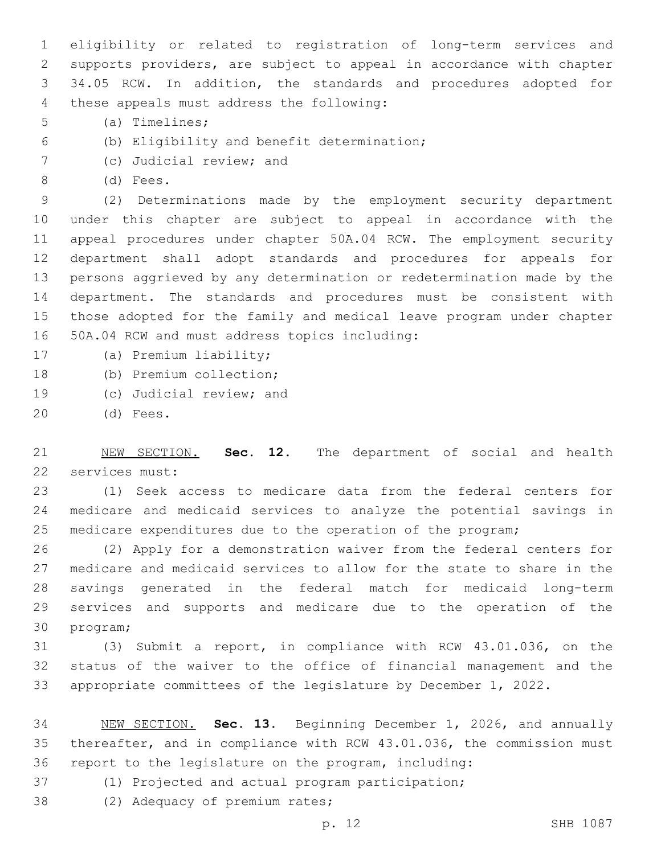eligibility or related to registration of long-term services and supports providers, are subject to appeal in accordance with chapter 34.05 RCW. In addition, the standards and procedures adopted for 4 these appeals must address the following:

- (a) Timelines;5
- (b) Eligibility and benefit determination;6
- 7 (c) Judicial review; and
- 8 (d) Fees.

 (2) Determinations made by the employment security department under this chapter are subject to appeal in accordance with the appeal procedures under chapter 50A.04 RCW. The employment security department shall adopt standards and procedures for appeals for persons aggrieved by any determination or redetermination made by the department. The standards and procedures must be consistent with those adopted for the family and medical leave program under chapter 50A.04 RCW and must address topics including:16

17 (a) Premium liability;

- 18 (b) Premium collection;
- 19 (c) Judicial review; and
- 20 (d) Fees.

 NEW SECTION. **Sec. 12.** The department of social and health services must:

 (1) Seek access to medicare data from the federal centers for medicare and medicaid services to analyze the potential savings in medicare expenditures due to the operation of the program;

 (2) Apply for a demonstration waiver from the federal centers for medicare and medicaid services to allow for the state to share in the savings generated in the federal match for medicaid long-term services and supports and medicare due to the operation of the 30 program;

 (3) Submit a report, in compliance with RCW 43.01.036, on the status of the waiver to the office of financial management and the appropriate committees of the legislature by December 1, 2022.

 NEW SECTION. **Sec. 13.** Beginning December 1, 2026, and annually thereafter, and in compliance with RCW 43.01.036, the commission must report to the legislature on the program, including:

- (1) Projected and actual program participation;
- 38 (2) Adequacy of premium rates;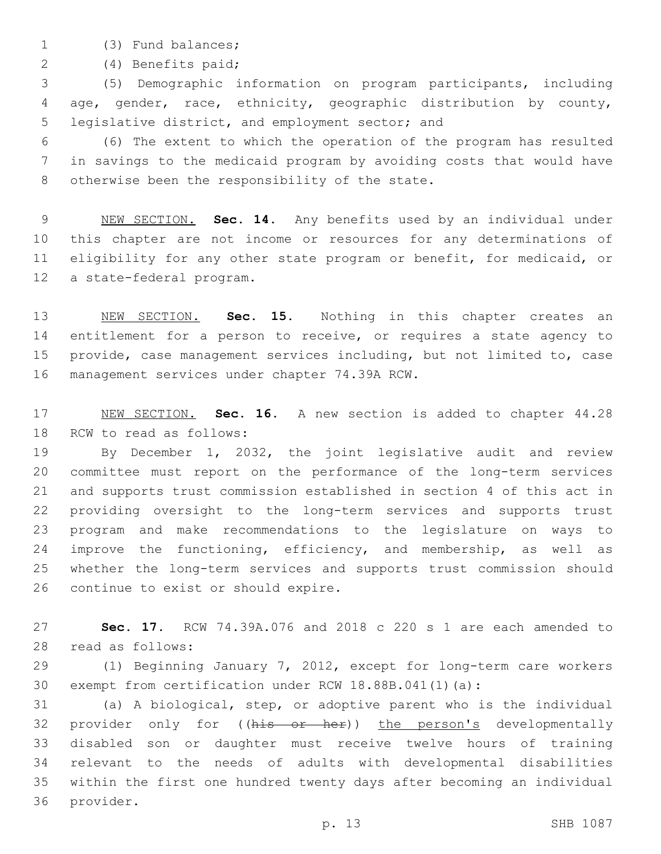- 
- 1 (3) Fund balances;

(4) Benefits paid;2

 (5) Demographic information on program participants, including age, gender, race, ethnicity, geographic distribution by county, 5 legislative district, and employment sector; and

 (6) The extent to which the operation of the program has resulted in savings to the medicaid program by avoiding costs that would have 8 otherwise been the responsibility of the state.

 NEW SECTION. **Sec. 14.** Any benefits used by an individual under this chapter are not income or resources for any determinations of eligibility for any other state program or benefit, for medicaid, or a state-federal program.

 NEW SECTION. **Sec. 15.** Nothing in this chapter creates an 14 entitlement for a person to receive, or requires a state agency to provide, case management services including, but not limited to, case management services under chapter 74.39A RCW.

 NEW SECTION. **Sec. 16.** A new section is added to chapter 44.28 18 RCW to read as follows:

 By December 1, 2032, the joint legislative audit and review committee must report on the performance of the long-term services and supports trust commission established in section 4 of this act in providing oversight to the long-term services and supports trust program and make recommendations to the legislature on ways to improve the functioning, efficiency, and membership, as well as whether the long-term services and supports trust commission should 26 continue to exist or should expire.

 **Sec. 17.** RCW 74.39A.076 and 2018 c 220 s 1 are each amended to 28 read as follows:

 (1) Beginning January 7, 2012, except for long-term care workers exempt from certification under RCW 18.88B.041(1)(a):

 (a) A biological, step, or adoptive parent who is the individual 32 provider only for ((his or her)) the person's developmentally disabled son or daughter must receive twelve hours of training relevant to the needs of adults with developmental disabilities within the first one hundred twenty days after becoming an individual 36 provider.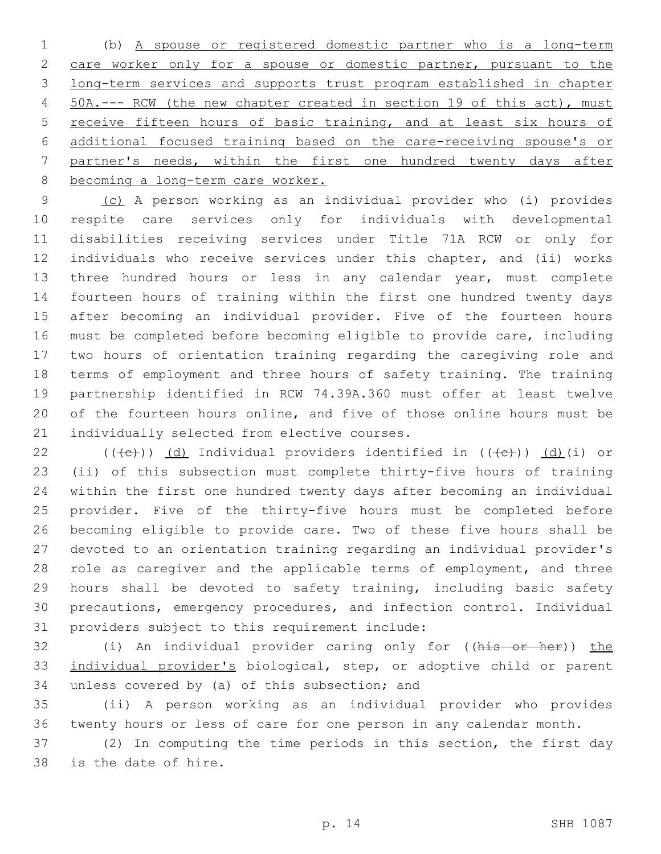(b) A spouse or registered domestic partner who is a long-term care worker only for a spouse or domestic partner, pursuant to the long-term services and supports trust program established in chapter 50A.--- RCW (the new chapter created in section 19 of this act), must receive fifteen hours of basic training, and at least six hours of additional focused training based on the care-receiving spouse's or partner's needs, within the first one hundred twenty days after becoming a long-term care worker.

 (c) A person working as an individual provider who (i) provides respite care services only for individuals with developmental disabilities receiving services under Title 71A RCW or only for individuals who receive services under this chapter, and (ii) works three hundred hours or less in any calendar year, must complete fourteen hours of training within the first one hundred twenty days after becoming an individual provider. Five of the fourteen hours must be completed before becoming eligible to provide care, including two hours of orientation training regarding the caregiving role and terms of employment and three hours of safety training. The training partnership identified in RCW 74.39A.360 must offer at least twelve of the fourteen hours online, and five of those online hours must be 21 individually selected from elective courses.

 $((\text{+e})^2)$  (d) Individual providers identified in  $((\text{+e})^2)$  (d)(i) or (ii) of this subsection must complete thirty-five hours of training within the first one hundred twenty days after becoming an individual provider. Five of the thirty-five hours must be completed before becoming eligible to provide care. Two of these five hours shall be devoted to an orientation training regarding an individual provider's 28 role as caregiver and the applicable terms of employment, and three hours shall be devoted to safety training, including basic safety precautions, emergency procedures, and infection control. Individual 31 providers subject to this requirement include:

32 (i) An individual provider caring only for ((his or her)) the individual provider's biological, step, or adoptive child or parent 34 unless covered by (a) of this subsection; and

 (ii) A person working as an individual provider who provides twenty hours or less of care for one person in any calendar month.

 (2) In computing the time periods in this section, the first day 38 is the date of hire.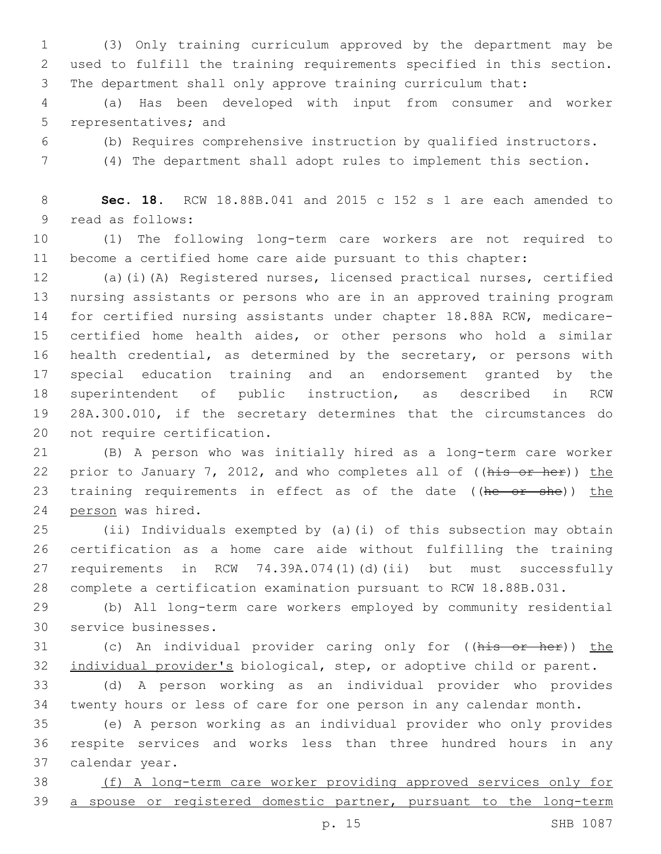(3) Only training curriculum approved by the department may be used to fulfill the training requirements specified in this section. The department shall only approve training curriculum that:

 (a) Has been developed with input from consumer and worker 5 representatives; and

(b) Requires comprehensive instruction by qualified instructors.

(4) The department shall adopt rules to implement this section.

 **Sec. 18.** RCW 18.88B.041 and 2015 c 152 s 1 are each amended to 9 read as follows:

 (1) The following long-term care workers are not required to become a certified home care aide pursuant to this chapter:

 (a)(i)(A) Registered nurses, licensed practical nurses, certified nursing assistants or persons who are in an approved training program for certified nursing assistants under chapter 18.88A RCW, medicare- certified home health aides, or other persons who hold a similar health credential, as determined by the secretary, or persons with special education training and an endorsement granted by the superintendent of public instruction, as described in RCW 28A.300.010, if the secretary determines that the circumstances do 20 not require certification.

 (B) A person who was initially hired as a long-term care worker 22 prior to January 7, 2012, and who completes all of ((his or her)) the 23 training requirements in effect as of the date ((he or she)) the 24 person was hired.

 (ii) Individuals exempted by (a)(i) of this subsection may obtain certification as a home care aide without fulfilling the training requirements in RCW 74.39A.074(1)(d)(ii) but must successfully complete a certification examination pursuant to RCW 18.88B.031.

 (b) All long-term care workers employed by community residential 30 service businesses.

31 (c) An individual provider caring only for ((his or her)) the individual provider's biological, step, or adoptive child or parent.

 (d) A person working as an individual provider who provides twenty hours or less of care for one person in any calendar month.

 (e) A person working as an individual provider who only provides respite services and works less than three hundred hours in any 37 calendar year.

 (f) A long-term care worker providing approved services only for 39 a spouse or registered domestic partner, pursuant to the long-term